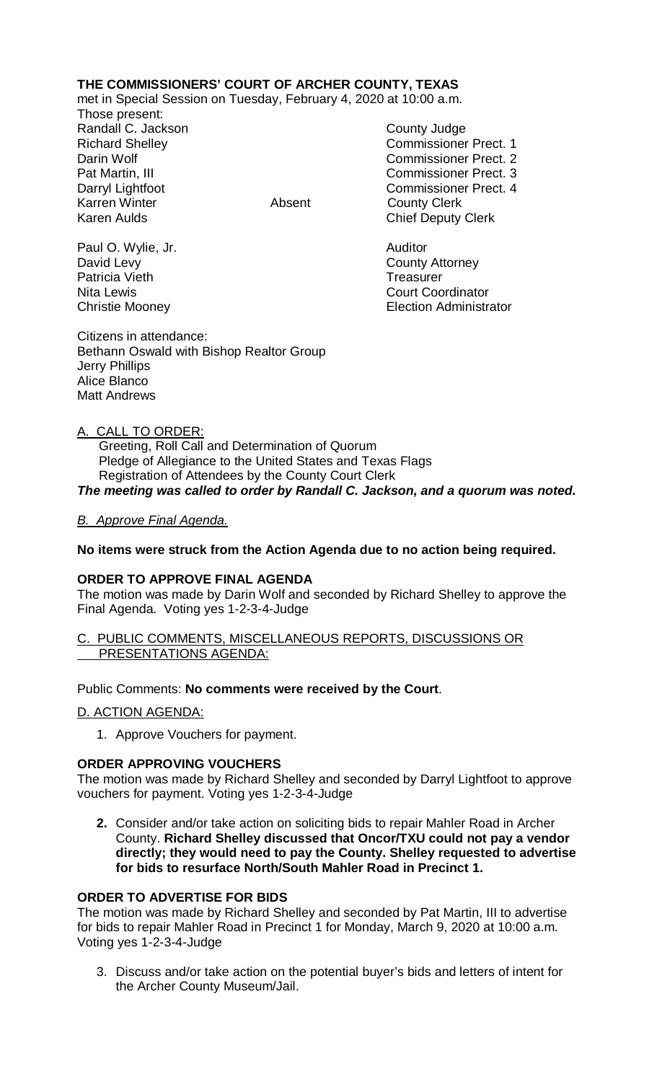## **THE COMMISSIONERS' COURT OF ARCHER COUNTY, TEXAS**

met in Special Session on Tuesday, February 4, 2020 at 10:00 a.m.

Those present: Randall C. Jackson County Judge Karren Winter **Absent** County Clerk Karen Aulds **Chief Deputy Clerk** 

Richard Shelley **Commissioner Prect. 1** Darin Wolf Commissioner Prect. 2 Pat Martin, III Commissioner Prect. 3 Darryl Lightfoot Commissioner Prect. 4

Nita Lewis **Court Coordinator** Court Coordinator Christie Mooney Election Administrator

Paul O. Wylie, Jr. **Auditor Paul O. Wylie, Jr. Auditor** David Levy **County Attorney** Patricia Vieth **Treasurer** Treasurer

Citizens in attendance: Bethann Oswald with Bishop Realtor Group Jerry Phillips Alice Blanco Matt Andrews

## A. CALL TO ORDER:

 Greeting, Roll Call and Determination of Quorum Pledge of Allegiance to the United States and Texas Flags Registration of Attendees by the County Court Clerk

*The meeting was called to order by Randall C. Jackson, and a quorum was noted.*

## *B. Approve Final Agenda.*

#### **No items were struck from the Action Agenda due to no action being required.**

#### **ORDER TO APPROVE FINAL AGENDA**

The motion was made by Darin Wolf and seconded by Richard Shelley to approve the Final Agenda. Voting yes 1-2-3-4-Judge

#### C. PUBLIC COMMENTS, MISCELLANEOUS REPORTS, DISCUSSIONS OR PRESENTATIONS AGENDA:

#### Public Comments: **No comments were received by the Court**.

D. ACTION AGENDA:

1. Approve Vouchers for payment.

#### **ORDER APPROVING VOUCHERS**

The motion was made by Richard Shelley and seconded by Darryl Lightfoot to approve vouchers for payment. Voting yes 1-2-3-4-Judge

**2.** Consider and/or take action on soliciting bids to repair Mahler Road in Archer County. **Richard Shelley discussed that Oncor/TXU could not pay a vendor directly; they would need to pay the County. Shelley requested to advertise for bids to resurface North/South Mahler Road in Precinct 1.**

## **ORDER TO ADVERTISE FOR BIDS**

The motion was made by Richard Shelley and seconded by Pat Martin, III to advertise for bids to repair Mahler Road in Precinct 1 for Monday, March 9, 2020 at 10:00 a.m. Voting yes 1-2-3-4-Judge

3. Discuss and/or take action on the potential buyer's bids and letters of intent for the Archer County Museum/Jail.